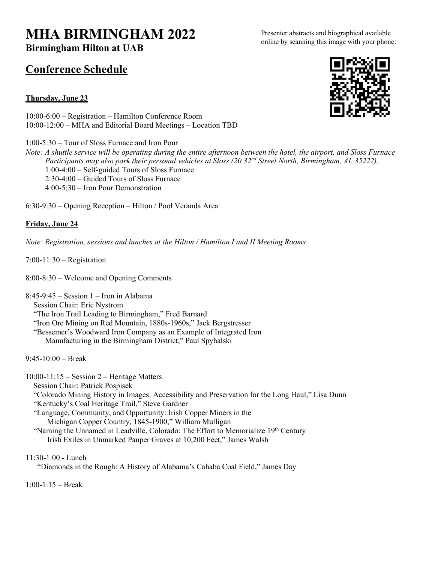# **MHA BIRMINGHAM 2022 Birmingham Hilton at UAB**

Presenter abstracts and biographical available online by scanning this image with your phone:

# **Conference Schedule**

## **Thursday, June 23**

10:00-6:00 – Registration – Hamilton Conference Room 10:00-12:00 – MHA and Editorial Board Meetings – Location TBD

1:00-5:30 – Tour of Sloss Furnace and Iron Pour

*Note: A shuttle service will be operating during the entire afternoon between the hotel, the airport, and Sloss Furnace Participants may also park their personal vehicles at Sloss (20 32nd Street North, Birmingham, AL 35222).*  1:00-4:00 – Self-guided Tours of Sloss Furnace 2:30-4:00 – Guided Tours of Sloss Furnace

4:00-5:30 – Iron Pour Demonstration

6:30-9:30 – Opening Reception – Hilton / Pool Veranda Area

## **Friday, June 24**

*Note: Registration, sessions and lunches at the Hilton / Hamilton I and II Meeting Rooms* 

7:00-11:30 – Registration

8:00-8:30 – Welcome and Opening Comments

8:45-9:45 – Session 1 – Iron in Alabama Session Chair: Eric Nystrom "The Iron Trail Leading to Birmingham," Fred Barnard "Iron Ore Mining on Red Mountain, 1880s-1960s," Jack Bergstresser "Bessemer's Woodward Iron Company as an Example of Integrated Iron Manufacturing in the Birmingham District," Paul Spyhalski

 $9:45-10:00$  – Break

10:00-11:15 – Session 2 – Heritage Matters

Session Chair: Patrick Pospisek

 "Colorado Mining History in Images: Accessibility and Preservation for the Long Haul," Lisa Dunn "Kentucky's Coal Heritage Trail," Steve Gardner

 "Language, Community, and Opportunity: Irish Copper Miners in the Michigan Copper Country, 1845-1900," William Mulligan

 "Naming the Unnamed in Leadville, Colorado: The Effort to Memorialize 19th Century Irish Exiles in Unmarked Pauper Graves at 10,200 Feet," James Walsh

11:30-1:00 - Lunch

"Diamonds in the Rough: A History of Alabama's Cahaba Coal Field," James Day

1:00-1:15 – Break

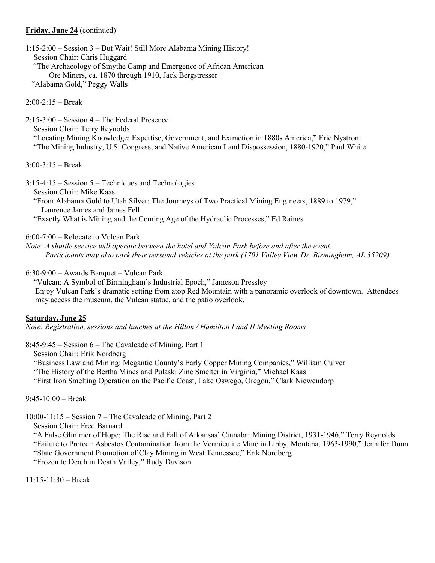### **Friday, June 24** (continued)

1:15-2:00 – Session 3 – But Wait! Still More Alabama Mining History! Session Chair: Chris Huggard "The Archaeology of Smythe Camp and Emergence of African American Ore Miners, ca. 1870 through 1910, Jack Bergstresser "Alabama Gold," Peggy Walls

 $2:00-2:15 - Break$ 

2:15-3:00 – Session 4 – The Federal Presence Session Chair: Terry Reynolds "Locating Mining Knowledge: Expertise, Government, and Extraction in 1880s America," Eric Nystrom "The Mining Industry, U.S. Congress, and Native American Land Dispossession, 1880-1920," Paul White

3:00-3:15 – Break

3:15-4:15 – Session 5 – Techniques and Technologies Session Chair: Mike Kaas "From Alabama Gold to Utah Silver: The Journeys of Two Practical Mining Engineers, 1889 to 1979," Laurence James and James Fell

"Exactly What is Mining and the Coming Age of the Hydraulic Processes," Ed Raines

6:00-7:00 – Relocate to Vulcan Park

*Note: A shuttle service will operate between the hotel and Vulcan Park before and after the event. Participants may also park their personal vehicles at the park (1701 Valley View Dr. Birmingham, AL 35209).*

6:30-9:00 – Awards Banquet – Vulcan Park

 "Vulcan: A Symbol of Birmingham's Industrial Epoch," Jameson Pressley Enjoy Vulcan Park's dramatic setting from atop Red Mountain with a panoramic overlook of downtown. Attendees may access the museum, the Vulcan statue, and the patio overlook.

### **Saturday, June 25**

*Note: Registration, sessions and lunches at the Hilton / Hamilton I and II Meeting Rooms* 

8:45-9:45 – Session 6 – The Cavalcade of Mining, Part 1

Session Chair: Erik Nordberg

"Business Law and Mining: Megantic County's Early Copper Mining Companies," William Culver

"The History of the Bertha Mines and Pulaski Zinc Smelter in Virginia," Michael Kaas

"First Iron Smelting Operation on the Pacific Coast, Lake Oswego, Oregon," Clark Niewendorp

9:45-10:00 – Break

10:00-11:15 – Session 7 – The Cavalcade of Mining, Part 2

Session Chair: Fred Barnard

 "A False Glimmer of Hope: The Rise and Fall of Arkansas' Cinnabar Mining District, 1931-1946," Terry Reynolds "Failure to Protect: Asbestos Contamination from the Vermiculite Mine in Libby, Montana, 1963-1990," Jennifer Dunn "State Government Promotion of Clay Mining in West Tennessee," Erik Nordberg

"Frozen to Death in Death Valley," Rudy Davison

11:15-11:30 – Break